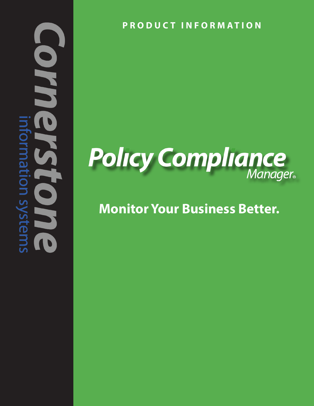## U VI nation systems UU

**PRODUCT INFORMATION**

### **Policy Compliance**

#### **Monitor Your Business Better.**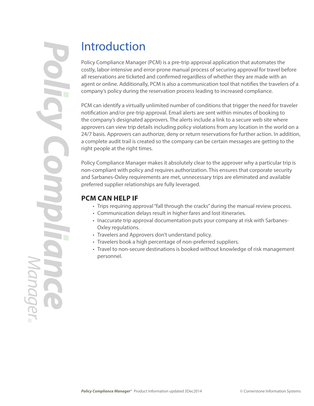#### Introduction

Policy Compliance Manager (PCM) is a pre-trip approval application that automates the costly, labor-intensive and error-prone manual process of securing approval for travel before all reservations are ticketed and confirmed regardless of whether they are made with an agent or online. Additionally, PCM is also a communication tool that notifies the travelers of a company's policy during the reservation process leading to increased compliance.

PCM can identify a virtually unlimited number of conditions that trigger the need for traveler notification and/or pre-trip approval. Email alerts are sent within minutes of booking to the company's designated approvers. The alerts include a link to a secure web site where approvers can view trip details including policy violations from any location in the world on a 24/7 basis. Approvers can authorize, deny or return reservations for further action. In addition, a complete audit trail is created so the company can be certain messages are getting to the right people at the right times.

Policy Compliance Manager makes it absolutely clear to the approver why a particular trip is non-compliant with policy and requires authorization. This ensures that corporate security and Sarbanes-Oxley requirements are met, unnecessary trips are eliminated and available preferred supplier relationships are fully leveraged.

#### **PCM CAN HELP IF**

- Trips requiring approval "fall through the cracks" during the manual review process.
- Communication delays result in higher fares and lost itineraries.
- Inaccurate trip approval documentation puts your company at risk with Sarbanes-Oxley regulations.
- Travelers and Approvers don't understand policy.
- Travelers book a high percentage of non-preferred suppliers.
- Travel to non-secure destinations is booked without knowledge of risk management personnel.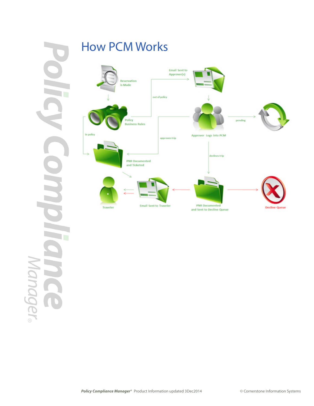# Manager®

#### How PCM Works

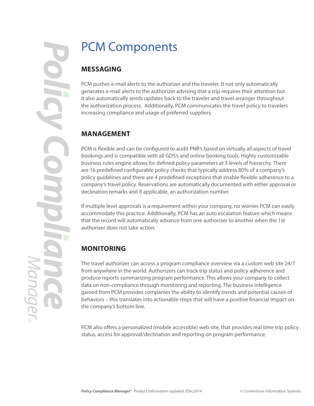#### PCM Components

#### **MESSAGING**

PCM pushes e-mail alerts to the authorizer and the traveler. It not only automatically generates e-mail alerts to the authorizer advising that a trip requires their attention but it also automatically sends updates back to the traveler and travel arranger throughout the authorization process. Additionally, PCM communicates the travel policy to travelers increasing compliance and usage of preferred suppliers.

#### **MANAGEMENT**

PCM is flexible and can be configured to audit PNR's based on virtually all aspects of travel bookings and is compatible with all GDS's and online booking tools. Highly customizable business rules engine allows for defined policy parameters at 3 levels of hierarchy. There are 16 predefined configurable policy checks that typically address 80% of a company's policy guidelines and there are 4 predefined exceptions that enable flexible adherence to a company's travel policy. Reservations are automatically documented with either approval or declination remarks and if applicable, an authorization number.

If multiple level approvals is a requirement within your company, no worries PCM can easily accommodate this practice. Additionally, PCM has an auto escalation feature which means that the record will automatically advance from one authorizer to another when the 1st authorizer does not take action.

#### **MONITORING**

The travel authorizer can access a program compliance overview via a custom web site 24/7 from anywhere in the world. Authorizers can track trip status and policy adherence and produce reports summarizing program performance. This allows your company to collect data on non-compliance through monitoring and reporting. The business intelligence gained from PCM provides companies the ability to identify trends and potential causes of behaviors – this translates into actionable steps that will have a positive financial impact on the company's bottom line.

PCM also offers a personalized (mobile accessible) web site, that provides real time trip policy status, access for approval/declination and reporting on program performance.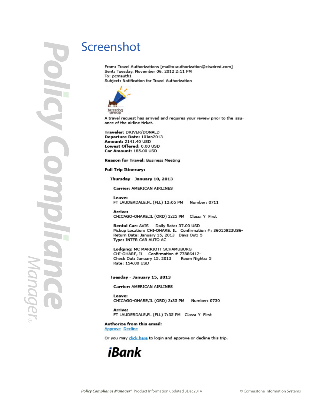Idmác

#### Screenshot

From: Travel Authorizations [mailto:authorization@ciswired.com] Sent: Tuesday, November 06, 2012 2:11 PM To: pcmauth1 Subject: Notification for Travel Authorization



A travel request has arrived and requires your review prior to the issuance of the airline ticket.

Traveler: DRIVER/DONALD Departure Date: 10Jan2013 Amount: 2141.40 USD Lowest Offered: 0.00 USD Car Amount: 185.00 USD

Reason for Travel: Business Meeting

**Full Trip Itinerary:** 

Thursday - January 10, 2013

**Carrier: AMERICAN AIRLINES** 

Leave: FT LAUDERDALE,FL (FLL) 12:05 PM Number: 0711

Arrive: CHICAGO-OHARE, IL (ORD) 2:25 PM Class: Y First

Rental Car: AVIS Daily Rate: 37.00 USD Pickup Location: CHI-OHARE, IL Confirmation #: 36015923US6-Return Date: January 15, 2013 Days Out: 5 Type: INTER CAR AUTO AC

Lodging: MC MARRIOTT SCHAMUBURG CHI-OHARE, IL Confirmation # 77886412-Check Out: January 15, 2013 Room Nights: 5 Rate: 154.00 USD

Tuesday - January 15, 2013

**Carrier: AMERICAN AIRLINES** 

Leave: CHICAGO-OHARE, IL (ORD) 3:35 PM Number: 0730

Arrive: FT LAUDERDALE,FL (FLL) 7:35 PM Class: Y First

Authorize from this email:

**Approve Decline** 

Or you may click here to login and approve or decline this trip.

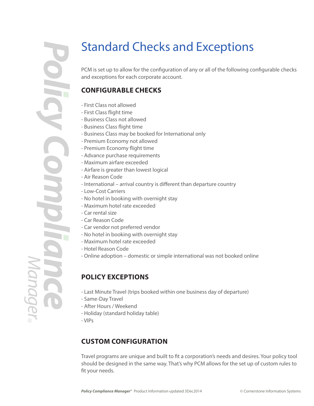#### Standard Checks and Exceptions

PCM is set up to allow for the configuration of any or all of the following configurable checks and exceptions for each corporate account.

#### **CONFIGURABLE CHECKS**

- First Class not allowed
- First Class flight time
- Business Class not allowed
- Business Class flight time
- Business Class may be booked for International only
- Premium Economy not allowed
- Premium Economy flight time
- Advance purchase requirements
- Maximum airfare exceeded
- Airfare is greater than lowest logical
- Air Reason Code
- International arrival country is different than departure country
- Low-Cost Carriers
- No hotel in booking with overnight stay
- Maximum hotel rate exceeded
- Car rental size
- Car Reason Code
- Car vendor not preferred vendor
- No hotel in booking with overnight stay
- Maximum hotel rate exceeded
- Hotel Reason Code
- Online adoption domestic or simple international was not booked online

#### **POLICY EXCEPTIONS**

- Last Minute Travel (trips booked within one business day of departure)
- Same-Day Travel
- After Hours / Weekend
- Holiday (standard holiday table)
- VIPs

#### **CUSTOM CONFIGURATION**

Travel programs are unique and built to fit a corporation's needs and desires. Your policy tool should be designed in the same way. That's why PCM allows for the set up of custom rules to fit your needs.